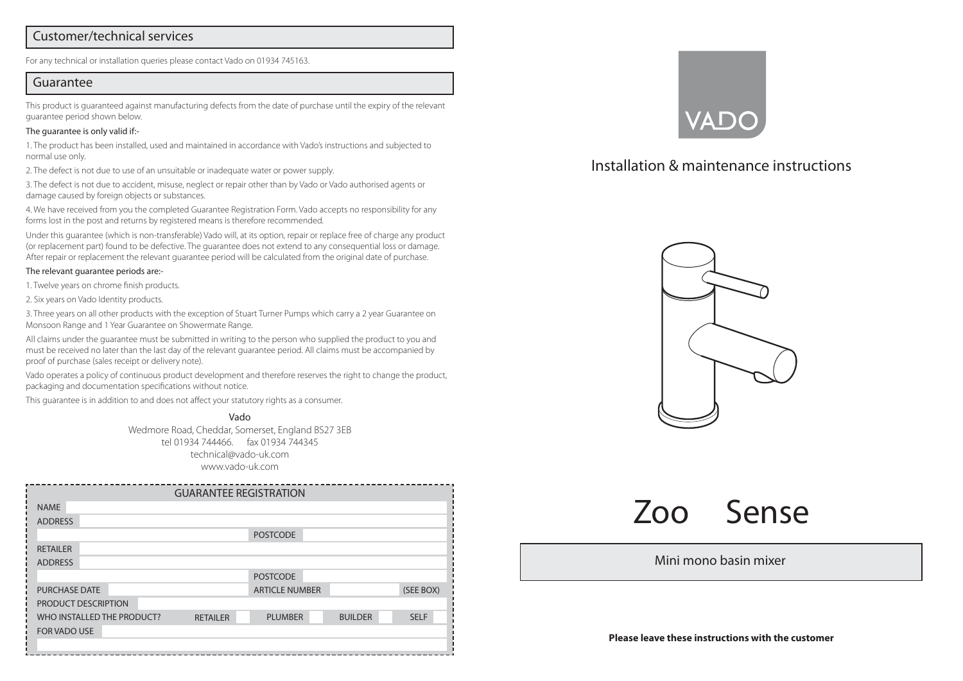## Customer/technical services

For any technical or installation queries please contact Vado on 01934 745163.

#### Guarantee

This product is guaranteed against manufacturing defects from the date of purchase until the expiry of the relevant guarantee period shown below.

#### The guarantee is only valid if:-

1. The product has been installed, used and maintained in accordance with Vado's instructions and subjected to normal use only.

2. The defect is not due to use of an unsuitable or inadequate water or power supply.

3. The defect is not due to accident, misuse, neglect or repair other than by Vado or Vado authorised agents or damage caused by foreign objects or substances.

4. We have received from you the completed Guarantee Registration Form. Vado accepts no responsibility for any forms lost in the post and returns by registered means is therefore recommended.

Under this guarantee (which is non-transferable) Vado will, at its option, repair or replace free of charge any product (or replacement part) found to be defective. The guarantee does not extend to any consequential loss or damage. After repair or replacement the relevant guarantee period will be calculated from the original date of purchase.

#### The relevant guarantee periods are:-

1. Twelve years on chrome finish products.

2. Six years on Vado Identity products.

3. Three years on all other products with the exception of Stuart Turner Pumps which carry a 2 year Guarantee on Monsoon Range and 1 Year Guarantee on Showermate Range.

All claims under the guarantee must be submitted in writing to the person who supplied the product to you and must be received no later than the last day of the relevant guarantee period. All claims must be accompanied by proof of purchase (sales receipt or delivery note).

Vado operates a policy of continuous product development and therefore reserves the right to change the product, packaging and documentation specifications without notice.

This guarantee is in addition to and does not affect your statutory rights as a consumer.

Vado Wedmore Road, Cheddar, Somerset, England BS27 3EB tel 01934 744466. fax 01934 744345 technical@vado-uk.com www.vado-uk.com

|                            |                      |                 | <b>GUARANTEE REGISTRATION</b> |                       |             |           |
|----------------------------|----------------------|-----------------|-------------------------------|-----------------------|-------------|-----------|
| <b>NAME</b>                |                      |                 |                               |                       |             |           |
| <b>ADDRESS</b>             |                      |                 |                               |                       |             |           |
|                            |                      |                 |                               | <b>POSTCODE</b>       |             |           |
| <b>RETAILER</b>            |                      |                 |                               |                       |             |           |
| <b>ADDRESS</b>             |                      |                 |                               |                       |             |           |
|                            |                      |                 |                               | <b>POSTCODE</b>       |             |           |
|                            | <b>PURCHASE DATE</b> |                 |                               | <b>ARTICLE NUMBER</b> |             | (SEE BOX) |
| PRODUCT DESCRIPTION        |                      |                 |                               |                       |             |           |
| WHO INSTALLED THE PRODUCT? |                      | <b>RETAILER</b> | <b>PLUMBER</b>                | <b>BUILDER</b>        | <b>SELF</b> |           |
| <b>FOR VADO USE</b>        |                      |                 |                               |                       |             |           |
|                            |                      |                 |                               |                       |             |           |



# Installation & maintenance instructions



Zoo Sense

### Mini mono basin mixer

**Please leave these instructions with the customer**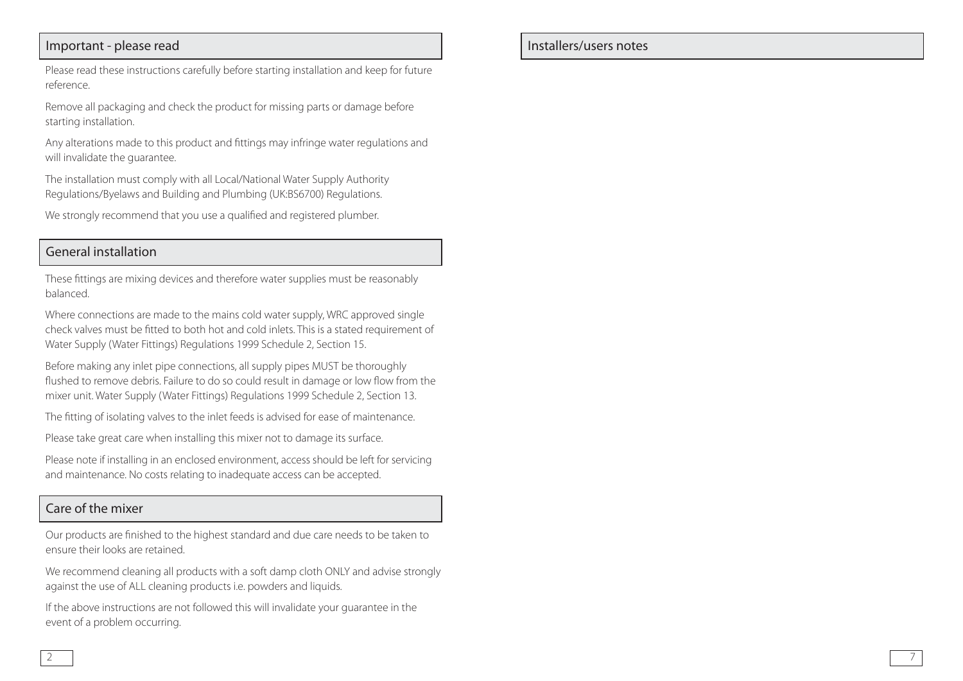# Important - please read

Please read these instructions carefully before starting installation and keep for future reference.

Remove all packaging and check the product for missing parts or damage before starting installation.

Any alterations made to this product and fittings may infringe water regulations and will invalidate the guarantee.

The installation must comply with all Local/National Water Supply Authority Regulations/Byelaws and Building and Plumbing (UK:BS6700) Regulations.

We strongly recommend that you use a qualified and registered plumber.

# General installation

These fittings are mixing devices and therefore water supplies must be reasonably balanced.

Where connections are made to the mains cold water supply, WRC approved single check valves must be fitted to both hot and cold inlets. This is a stated requirement of Water Supply (Water Fittings) Regulations 1999 Schedule 2, Section 15.

Before making any inlet pipe connections, all supply pipes MUST be thoroughly flushed to remove debris. Failure to do so could result in damage or low flow from the mixer unit. Water Supply (Water Fittings) Regulations 1999 Schedule 2, Section 13.

The fitting of isolating valves to the inlet feeds is advised for ease of maintenance.

Please take great care when installing this mixer not to damage its surface.

Please note if installing in an enclosed environment, access should be left for servicing and maintenance. No costs relating to inadequate access can be accepted.

# Care of the mixer

Our products are finished to the highest standard and due care needs to be taken to ensure their looks are retained.

We recommend cleaning all products with a soft damp cloth ONLY and advise strongly against the use of ALL cleaning products i.e. powders and liquids.

If the above instructions are not followed this will invalidate your guarantee in the event of a problem occurring.

# Installers/users notes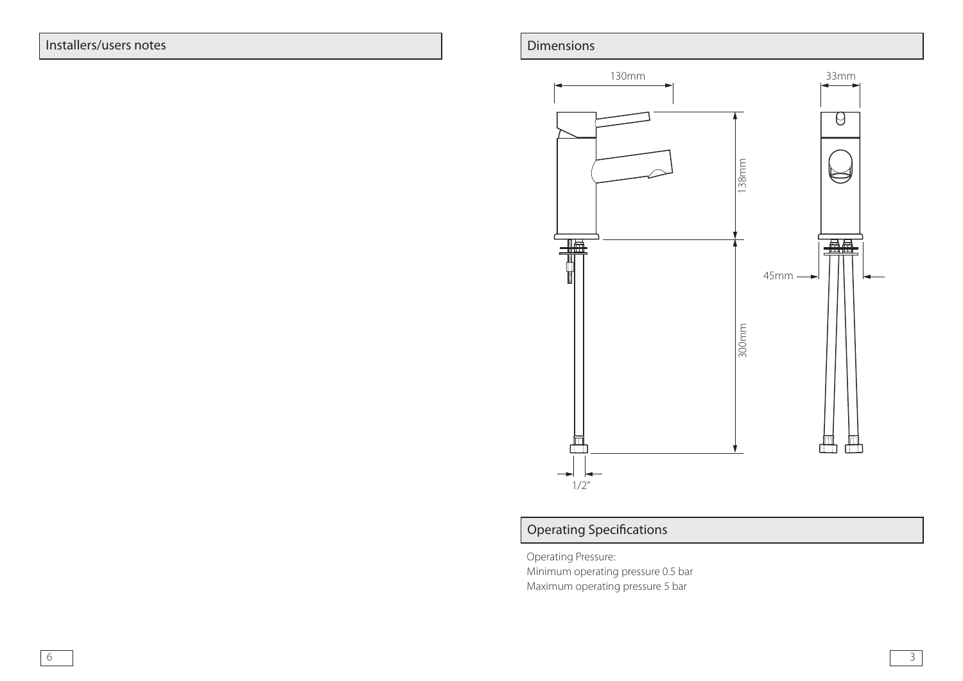# Installers/users notes



# Operating Specifications

Operating Pressure: Minimum operating pressure 0.5 bar Maximum operating pressure 5 bar